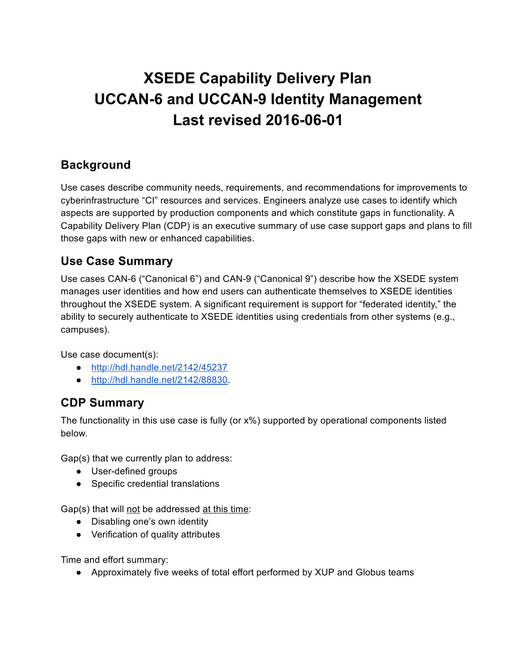# **XSEDE Capability Delivery Plan UCCAN6 and UCCAN9 Identity Management Last revised 2016-06-01**

### **Background**

Use cases describe community needs, requirements, and recommendations for improvements to cyberinfrastructure "CI" resources and services. Engineers analyze use cases to identify which aspects are supported by production components and which constitute gaps in functionality. A Capability Delivery Plan (CDP) is an executive summary of use case support gaps and plans to fill those gaps with new or enhanced capabilities.

## **Use Case Summary**

Use cases CAN-6 ("Canonical 6") and CAN-9 ("Canonical 9") describe how the XSEDE system manages user identities and how end users can authenticate themselves to XSEDE identities throughout the XSEDE system. A significant requirement is support for "federated identity," the ability to securely authenticate to XSEDE identities using credentials from other systems (e.g., campuses).

Use case document(s):

- <http://hdl.handle.net/2142/45237>
- [http://hdl.handle.net/2142/88830.](http://hdl.handle.net/2142/88830)

## **CDP Summary**

The functionality in this use case is fully (or x%) supported by operational components listed below.

Gap(s) that we currently plan to address:

- User-defined groups
- Specific credential translations

Gap(s) that will not be addressed at this time:

- Disabling one's own identity
- Verification of quality attributes

Time and effort summary:

● Approximately five weeks of total effort performed by XUP and Globus teams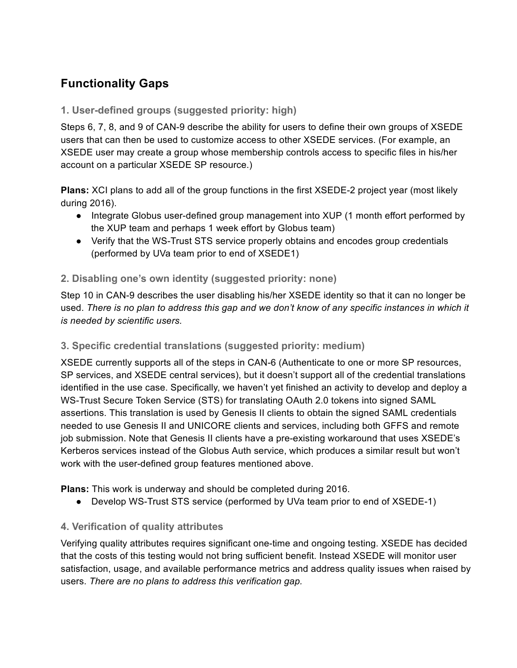## **Functionality Gaps**

#### **1. Userdefined groups (suggested priority: high)**

Steps 6, 7, 8, and 9 of CAN-9 describe the ability for users to define their own groups of XSEDE users that can then be used to customize access to other XSEDE services. (For example, an XSEDE user may create a group whose membership controls access to specific files in his/her account on a particular XSEDE SP resource.)

**Plans:** XCI plans to add all of the group functions in the first XSEDE-2 project year (most likely during 2016).

- Integrate Globus user-defined group management into XUP (1 month effort performed by the XUP team and perhaps 1 week effort by Globus team)
- Verify that the WS-Trust STS service properly obtains and encodes group credentials (performed by UVa team prior to end of XSEDE1)

#### **2. Disabling one's own identity (suggested priority: none)**

Step 10 in CAN9 describes the user disabling his/her XSEDE identity so that it can no longer be used. There is no plan to address this gap and we don't know of any specific instances in which it *is needed by scientific users.*

#### **3. Specific credential translations (suggested priority: medium)**

XSEDE currently supports all of the steps in CAN-6 (Authenticate to one or more SP resources, SP services, and XSEDE central services), but it doesn't support all of the credential translations identified in the use case. Specifically, we haven't yet finished an activity to develop and deploy a WS-Trust Secure Token Service (STS) for translating OAuth 2.0 tokens into signed SAML assertions. This translation is used by Genesis II clients to obtain the signed SAML credentials needed to use Genesis II and UNICORE clients and services, including both GFFS and remote job submission. Note that Genesis II clients have a pre-existing workaround that uses XSEDE's Kerberos services instead of the Globus Auth service, which produces a similar result but won't work with the user-defined group features mentioned above.

**Plans:** This work is underway and should be completed during 2016.

• Develop WS-Trust STS service (performed by UVa team prior to end of XSEDE-1)

#### **4. Verification of quality attributes**

Verifying quality attributes requires significant one-time and ongoing testing. XSEDE has decided that the costs of this testing would not bring sufficient benefit. Instead XSEDE will monitor user satisfaction, usage, and available performance metrics and address quality issues when raised by users. *There are no plans to address this verification gap.*